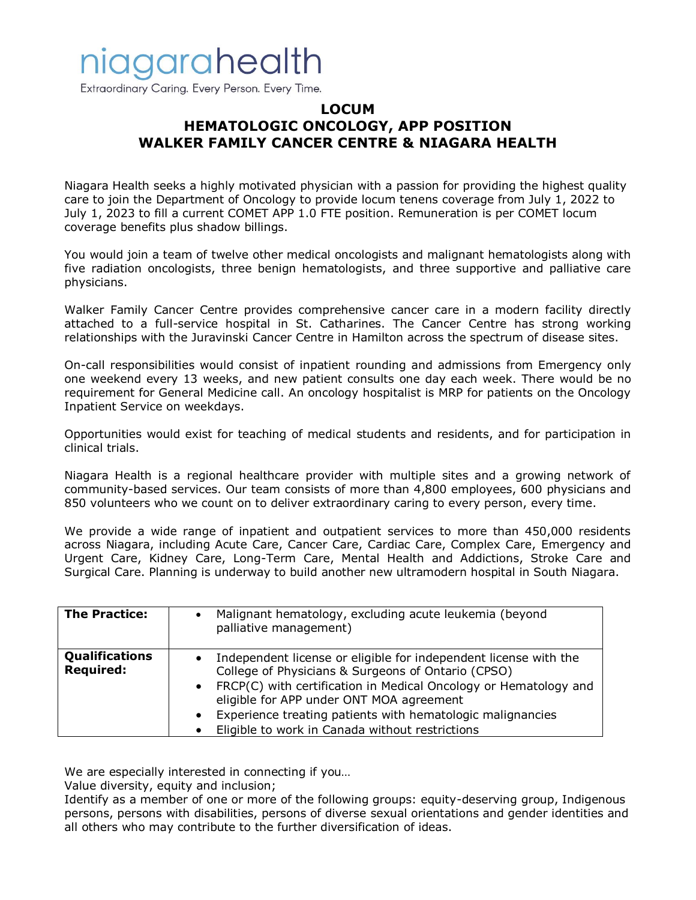## niagarahealth

Extraordinary Caring. Every Person. Every Time.

### **LOCUM HEMATOLOGIC ONCOLOGY, APP POSITION WALKER FAMILY CANCER CENTRE & NIAGARA HEALTH**

Niagara Health seeks a highly motivated physician with a passion for providing the highest quality care to join the Department of Oncology to provide locum tenens coverage from July 1, 2022 to July 1, 2023 to fill a current COMET APP 1.0 FTE position. Remuneration is per COMET locum coverage benefits plus shadow billings.

You would join a team of twelve other medical oncologists and malignant hematologists along with five radiation oncologists, three benign hematologists, and three supportive and palliative care physicians.

Walker Family Cancer Centre provides comprehensive cancer care in a modern facility directly attached to a full-service hospital in St. Catharines. The Cancer Centre has strong working relationships with the Juravinski Cancer Centre in Hamilton across the spectrum of disease sites.

On-call responsibilities would consist of inpatient rounding and admissions from Emergency only one weekend every 13 weeks, and new patient consults one day each week. There would be no requirement for General Medicine call. An oncology hospitalist is MRP for patients on the Oncology Inpatient Service on weekdays.

Opportunities would exist for teaching of medical students and residents, and for participation in clinical trials.

Niagara Health is a regional healthcare provider with multiple sites and a growing network of community-based services. Our team consists of more than 4,800 employees, 600 physicians and 850 volunteers who we count on to deliver extraordinary caring to every person, every time.

We provide a wide range of inpatient and outpatient services to more than 450,000 residents across Niagara, including Acute Care, Cancer Care, Cardiac Care, Complex Care, Emergency and Urgent Care, Kidney Care, Long-Term Care, Mental Health and Addictions, Stroke Care and Surgical Care. Planning is underway to build another new ultramodern hospital in South Niagara.

| <b>The Practice:</b>                      | Malignant hematology, excluding acute leukemia (beyond<br>palliative management)                                                                                                                                                                                                                                                                                       |
|-------------------------------------------|------------------------------------------------------------------------------------------------------------------------------------------------------------------------------------------------------------------------------------------------------------------------------------------------------------------------------------------------------------------------|
| <b>Qualifications</b><br><b>Required:</b> | Independent license or eligible for independent license with the<br>College of Physicians & Surgeons of Ontario (CPSO)<br>• FRCP(C) with certification in Medical Oncology or Hematology and<br>eligible for APP under ONT MOA agreement<br>Experience treating patients with hematologic malignancies<br>$\bullet$<br>Eligible to work in Canada without restrictions |

We are especially interested in connecting if you…

Value diversity, equity and inclusion;

Identify as a member of one or more of the following groups: equity-deserving group, Indigenous persons, persons with disabilities, persons of diverse sexual orientations and gender identities and all others who may contribute to the further diversification of ideas.